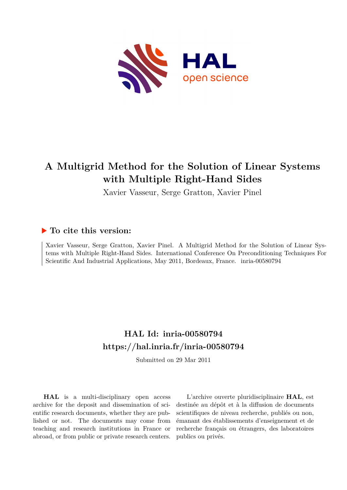

# **A Multigrid Method for the Solution of Linear Systems with Multiple Right-Hand Sides**

Xavier Vasseur, Serge Gratton, Xavier Pinel

### **To cite this version:**

Xavier Vasseur, Serge Gratton, Xavier Pinel. A Multigrid Method for the Solution of Linear Systems with Multiple Right-Hand Sides. International Conference On Preconditioning Techniques For Scientific And Industrial Applications, May 2011, Bordeaux, France. inria-00580794

## **HAL Id: inria-00580794 <https://hal.inria.fr/inria-00580794>**

Submitted on 29 Mar 2011

**HAL** is a multi-disciplinary open access archive for the deposit and dissemination of scientific research documents, whether they are published or not. The documents may come from teaching and research institutions in France or abroad, or from public or private research centers.

L'archive ouverte pluridisciplinaire **HAL**, est destinée au dépôt et à la diffusion de documents scientifiques de niveau recherche, publiés ou non, émanant des établissements d'enseignement et de recherche français ou étrangers, des laboratoires publics ou privés.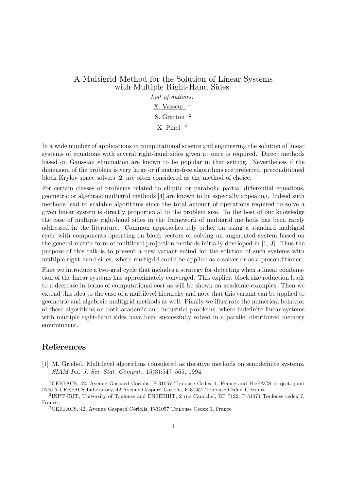### A Multigrid Method for the Solution of Linear Systems with Multiple Right-Hand Sides

List of authors: X. Vasseur  $1$ S. Gratton <sup>2</sup> X. Pinel <sup>3</sup>

In a wide number of applications in computational science and engineering the solution of linear systems of equations with several right-hand sides given at once is required. Direct methods based on Gaussian elimination are known to be popular in that setting. Nevertheless if the dimension of the problem is very large or if matrix-free algorithms are preferred, preconditioned block Krylov space solvers [2] are often considered as the method of choice.

For certain classes of problems related to elliptic or parabolic partial differential equations, geometric or algebraic multigrid methods [4] are known to be especially appealing. Indeed such methods lead to scalable algorithms since the total amount of operations required to solve a given linear system is directly proportional to the problem size. To the best of our knowledge the case of multiple right-hand sides in the framework of multigrid methods has been rarely addressed in the literature. Common approaches rely either on using a standard multigrid cycle with components operating on block vectors or solving an augmented system based on the general matrix form of multilevel projection methods initially developed in [1, 3]. Thus the purpose of this talk is to present a new variant suited for the solution of such systems with multiple right-hand sides, where multigrid could be applied as a solver or as a preconditioner.

First we introduce a two-grid cycle that includes a strategy for detecting when a linear combination of the linear systems has approximately converged. This explicit block size reduction leads to a decrease in terms of computational cost as will be shown on academic examples. Then we extend this idea to the case of a multilevel hierarchy and note that this variant can be applied to geometric and algebraic multigrid methods as well. Finally we illustrate the numerical behavior of these algorithms on both academic and industrial problems, where indefinite linear systems with multiple right-hand sides have been successfully solved in a parallel distributed memory environment.

#### References

[1] M. Griebel. Multilevel algorithms considered as iterative methods on semidefinite systems. SIAM Int. J. Sci. Stat. Comput., 15(3):547–565, 1994.

<sup>1</sup>CERFACS, 42, Avenue Gaspard Coriolis, F-31057 Toulouse Cedex 1, France and HiePACS project, joint INRIA-CERFACS Laboratory, 42 Avenue Gaspard Coriolis, F-31057 Toulouse Cedex 1, France

<sup>2</sup> INPT-IRIT, University of Toulouse and ENSEEIHT, 2 rue Camichel, BP 7122, F-31071 Toulouse cedex 7, France

<sup>3</sup>CERFACS, 42, Avenue Gaspard Coriolis, F-31057 Toulouse Cedex 1, France